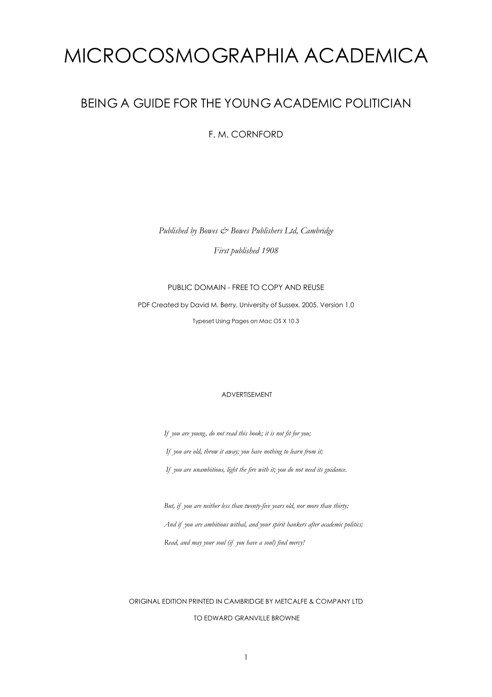# MICROCOSMOGRAPHIA ACADEMICA

#### BEING A GUIDE FOR THE YOUNG ACADEMIC POLITICIAN

F. M. CORNFORD

*Published by Bowes & Bowes Publishers Ltd, Cambridge*

*First published 1908* 

#### PUBLIC DOMAIN - FREE TO COPY AND REUSE

PDF Created by David M. Berry, University of Sussex. 2005. Version 1.0

Typeset Using Pages on Mac OS X 10.3

#### ADVERTISEMENT

*If you are young, do not read this book; it is not fit for you; If you are old, throw it away; you have nothing to learn from it; If you are unambitious, light the fire with it; you do not need its guidance.*

*But, if you are neither less than twenty-five years old, nor more than thirty; And if you are ambitious withal, and your spirit hankers after academic politics; Read, and may your soul (if you have a soul) find mercy!*

ORIGINAL EDITION PRINTED IN CAMBRIDGE BY METCALFE & COMPANY LTD TO EDWARD GRANVILLE BROWNE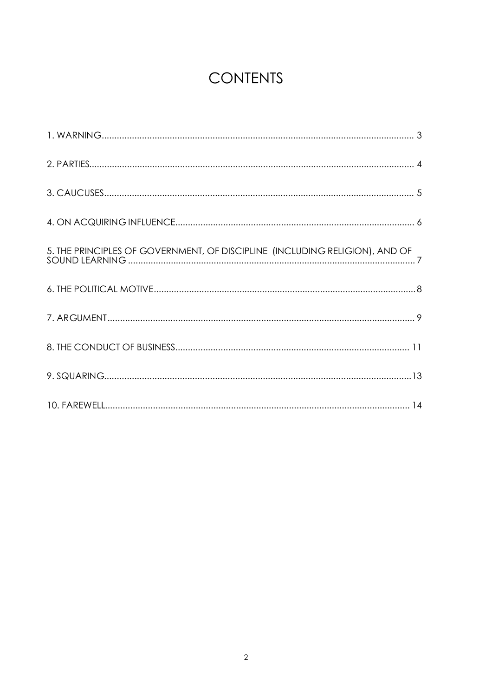### **CONTENTS**

| 5. THE PRINCIPLES OF GOVERNMENT, OF DISCIPLINE (INCLUDING RELIGION), AND OF |  |
|-----------------------------------------------------------------------------|--|
|                                                                             |  |
|                                                                             |  |
|                                                                             |  |
|                                                                             |  |
|                                                                             |  |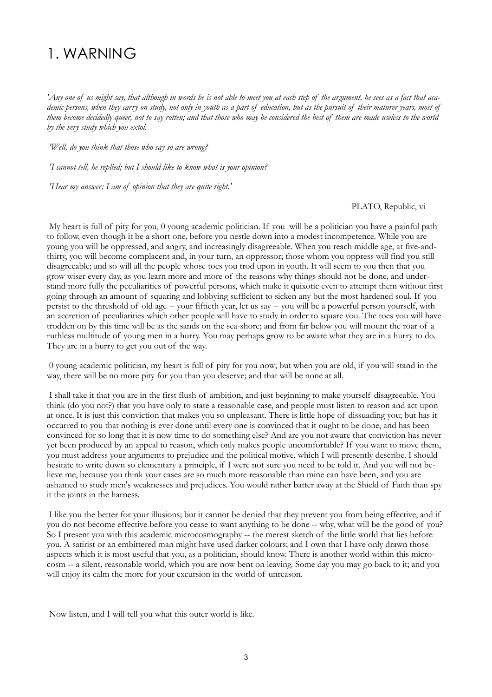#### 1. WARNING

*'Any one of us might say, that although in words he is not able to meet you at each step of the argument, he sees as a fact that academic persons, when they carry on study, not only in youth as a part of education, but as the pursuit of their maturer years, most of them become decidedly queer, not to say rotten; and that those who may be considered the best of them are made useless to the world by the very study which you extol.*

 *'Well, do you think that those who say so are wrong?*

 *'I cannot tell, he replied; but I should like to know what is your opinion?* 

 *'Hear my answer; I am of opinion that they are quite right.'*

PLATO, Republic, vi

 My heart is full of pity for you, 0 young academic politician. If you will be a politician you have a painful path to follow, even though it be a short one, before you nestle down into a modest incompetence. While you are young you will be oppressed, and angry, and increasingly disagreeable. When you reach middle age, at five-andthirty, you will become complacent and, in your turn, an oppressor; those whom you oppress will find you still disagreeable; and so will all the people whose toes you trod upon in youth. It will seem to you then that you grow wiser every day, as you learn more and more of the reasons why things should not be done, and understand more fully the peculiarities of powerful persons, which make it quixotic even to attempt them without first going through an amount of squaring and lobbying sufficient to sicken any but the most hardened soul. If you persist to the threshold of old age -- your fiftieth year, let us say -- you will be a powerful person yourself, with an accretion of peculiarities which other people will have to study in order to square you. The toes you will have trodden on by this time will be as the sands on the sea-shore; and from far below you will mount the roar of a ruthless multitude of young men in a hurry. You may perhaps grow to be aware what they are in a hurry to do. They are in a hurry to get you out of the way.

 0 young academic politician, my heart is full of pity for you now; but when you are old, if you will stand in the way, there will be no more pity for you than you deserve; and that will be none at all.

 I shall take it that you are in the first flush of ambition, and just beginning to make yourself disagreeable. You think (do you not?) that you have only to state a reasonable case, and people must listen to reason and act upon at once. It is just this conviction that makes you so unpleasant. There is little hope of dissuading you; but has it occurred to you that nothing is ever done until every one is convinced that it ought to be done, and has been convinced for so long that it is now time to do something else? And are you not aware that conviction has never yet been produced by an appeal to reason, which only makes people uncomfortable? If you want to move them, you must address your arguments to prejudice and the political motive, which I will presently describe. I should hesitate to write down so elementary a principle, if I were not sure you need to be told it. And you will not believe me, because you think your cases are so much more reasonable than mine can have been, and you are ashamed to study men's weaknesses and prejudices. You would rather batter away at the Shield of Faith than spy it the joints in the harness.

 I like you the better for your illusions; but it cannot be denied that they prevent you from being effective, and if you do not become effective before you cease to want anything to be done -- why, what will be the good of you? So I present you with this academic microcosmography -- the merest sketch of the little world that lies before you. A satirist or an embittered man might have used darker colours; and I own that I have only drawn those aspects which it is most useful that you, as a politician, should know. There is another world within this microcosm -- a silent, reasonable world, which you are now bent on leaving. Some day you may go back to it; and you will enjoy its calm the more for your excursion in the world of unreason.

Now listen, and I will tell you what this outer world is like.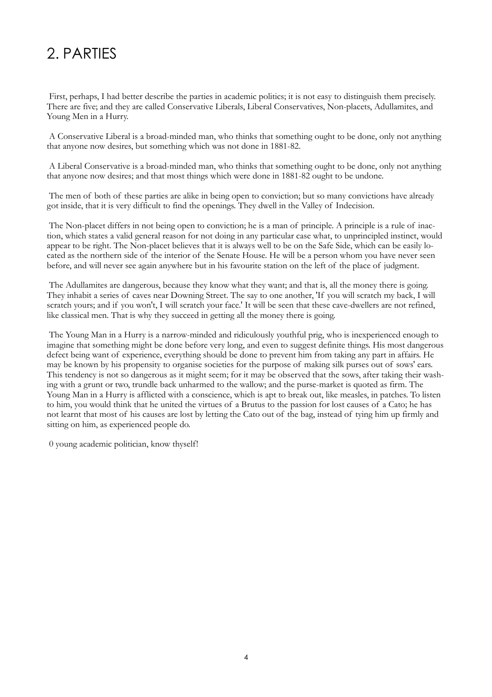#### 2. PARTIES

 First, perhaps, I had better describe the parties in academic politics; it is not easy to distinguish them precisely. There are five; and they are called Conservative Liberals, Liberal Conservatives, Non-placets, Adullamites, and Young Men in a Hurry.

 A Conservative Liberal is a broad-minded man, who thinks that something ought to be done, only not anything that anyone now desires, but something which was not done in 1881-82.

 A Liberal Conservative is a broad-minded man, who thinks that something ought to be done, only not anything that anyone now desires; and that most things which were done in 1881-82 ought to be undone.

 The men of both of these parties are alike in being open to conviction; but so many convictions have already got inside, that it is very difficult to find the openings. They dwell in the Valley of Indecision.

 The Non-placet differs in not being open to conviction; he is a man of principle. A principle is a rule of inaction, which states a valid general reason for not doing in any particular case what, to unprincipled instinct, would appear to be right. The Non-placet believes that it is always well to be on the Safe Side, which can be easily located as the northern side of the interior of the Senate House. He will be a person whom you have never seen before, and will never see again anywhere but in his favourite station on the left of the place of judgment.

 The Adullamites are dangerous, because they know what they want; and that is, all the money there is going. They inhabit a series of caves near Downing Street. The say to one another, 'If you will scratch my back, I will scratch yours; and if you won't, I will scratch your face.' It will be seen that these cave-dwellers are not refined, like classical men. That is why they succeed in getting all the money there is going.

 The Young Man in a Hurry is a narrow-minded and ridiculously youthful prig, who is inexperienced enough to imagine that something might be done before very long, and even to suggest definite things. His most dangerous defect being want of experience, everything should be done to prevent him from taking any part in affairs. He may be known by his propensity to organise societies for the purpose of making silk purses out of sows' ears. This tendency is not so dangerous as it might seem; for it may be observed that the sows, after taking their washing with a grunt or two, trundle back unharmed to the wallow; and the purse-market is quoted as firm. The Young Man in a Hurry is afflicted with a conscience, which is apt to break out, like measles, in patches. To listen to him, you would think that he united the virtues of a Brutus to the passion for lost causes of a Cato; he has not learnt that most of his causes are lost by letting the Cato out of the bag, instead of tying him up firmly and sitting on him, as experienced people do.

0 young academic politician, know thyself!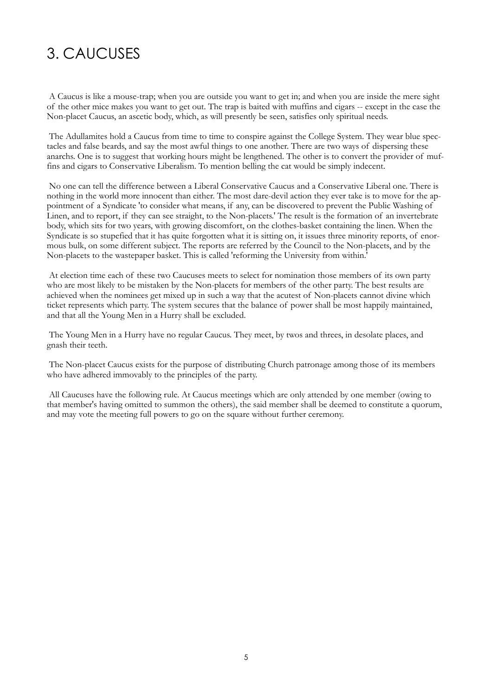#### 3. CAUCUSES

 A Caucus is like a mouse-trap; when you are outside you want to get in; and when you are inside the mere sight of the other mice makes you want to get out. The trap is baited with muffins and cigars -- except in the case the Non-placet Caucus, an ascetic body, which, as will presently be seen, satisfies only spiritual needs.

 The Adullamites hold a Caucus from time to time to conspire against the College System. They wear blue spectacles and false beards, and say the most awful things to one another. There are two ways of dispersing these anarchs. One is to suggest that working hours might be lengthened. The other is to convert the provider of muffins and cigars to Conservative Liberalism. To mention belling the cat would be simply indecent.

 No one can tell the difference between a Liberal Conservative Caucus and a Conservative Liberal one. There is nothing in the world more innocent than either. The most dare-devil action they ever take is to move for the appointment of a Syndicate 'to consider what means, if any, can be discovered to prevent the Public Washing of Linen, and to report, if they can see straight, to the Non-placets.' The result is the formation of an invertebrate body, which sits for two years, with growing discomfort, on the clothes-basket containing the linen. When the Syndicate is so stupefied that it has quite forgotten what it is sitting on, it issues three minority reports, of enormous bulk, on some different subject. The reports are referred by the Council to the Non-placets, and by the Non-placets to the wastepaper basket. This is called 'reforming the University from within.'

 At election time each of these two Caucuses meets to select for nomination those members of its own party who are most likely to be mistaken by the Non-placets for members of the other party. The best results are achieved when the nominees get mixed up in such a way that the acutest of Non-placets cannot divine which ticket represents which party. The system secures that the balance of power shall be most happily maintained, and that all the Young Men in a Hurry shall be excluded.

 The Young Men in a Hurry have no regular Caucus. They meet, by twos and threes, in desolate places, and gnash their teeth.

 The Non-placet Caucus exists for the purpose of distributing Church patronage among those of its members who have adhered immovably to the principles of the party.

 All Caucuses have the following rule. At Caucus meetings which are only attended by one member (owing to that member's having omitted to summon the others), the said member shall be deemed to constitute a quorum, and may vote the meeting full powers to go on the square without further ceremony.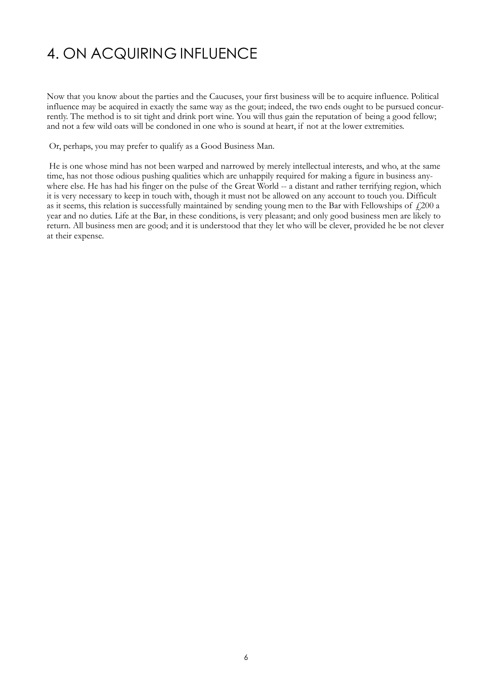#### 4. ON ACQUIRING INFLUENCE

Now that you know about the parties and the Caucuses, your first business will be to acquire influence. Political influence may be acquired in exactly the same way as the gout; indeed, the two ends ought to be pursued concurrently. The method is to sit tight and drink port wine. You will thus gain the reputation of being a good fellow; and not a few wild oats will be condoned in one who is sound at heart, if not at the lower extremities.

Or, perhaps, you may prefer to qualify as a Good Business Man.

 He is one whose mind has not been warped and narrowed by merely intellectual interests, and who, at the same time, has not those odious pushing qualities which are unhappily required for making a figure in business anywhere else. He has had his finger on the pulse of the Great World -- a distant and rather terrifying region, which it is very necessary to keep in touch with, though it must not be allowed on any account to touch you. Difficult as it seems, this relation is successfully maintained by sending young men to the Bar with Fellowships of  $\angle 200$  a year and no duties. Life at the Bar, in these conditions, is very pleasant; and only good business men are likely to return. All business men are good; and it is understood that they let who will be clever, provided he be not clever at their expense.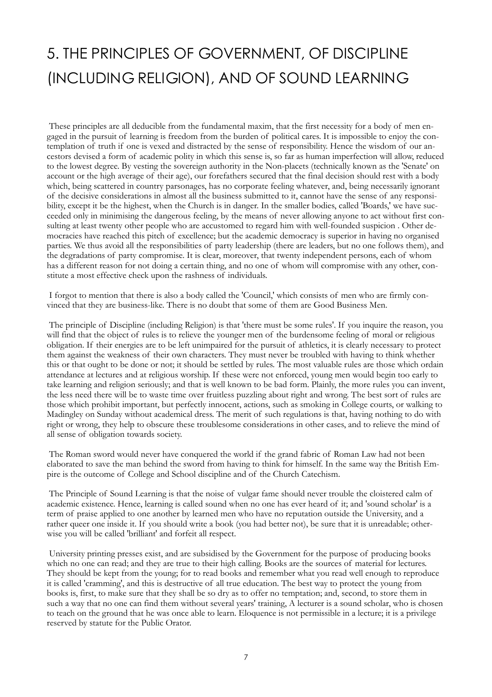# 5. THE PRINCIPLES OF GOVERNMENT, OF DISCIPLINE (INCLUDING RELIGION), AND OF SOUND LEARNING

 These principles are all deducible from the fundamental maxim, that the first necessity for a body of men engaged in the pursuit of learning is freedom from the burden of political cares. It is impossible to enjoy the contemplation of truth if one is vexed and distracted by the sense of responsibility. Hence the wisdom of our ancestors devised a form of academic polity in which this sense is, so far as human imperfection will allow, reduced to the lowest degree. By vesting the sovereign authority in the Non-placets (technically known as the 'Senate' on account or the high average of their age), our forefathers secured that the final decision should rest with a body which, being scattered in country parsonages, has no corporate feeling whatever, and, being necessarily ignorant of the decisive considerations in almost all the business submitted to it, cannot have the sense of any responsibility, except it be the highest, when the Church is in danger. In the smaller bodies, called 'Boards,' we have succeeded only in minimising the dangerous feeling, by the means of never allowing anyone to act without first consulting at least twenty other people who are accustomed to regard him with well-founded suspicion . Other democracies have reached this pitch of excellence; but the academic democracy is superior in having no organised parties. We thus avoid all the responsibilities of party leadership (there are leaders, but no one follows them), and the degradations of party compromise. It is clear, moreover, that twenty independent persons, each of whom has a different reason for not doing a certain thing, and no one of whom will compromise with any other, constitute a most effective check upon the rashness of individuals.

 I forgot to mention that there is also a body called the 'Council,' which consists of men who are firmly convinced that they are business-like. There is no doubt that some of them are Good Business Men.

 The principle of Discipline (including Religion) is that 'there must be some rules'. If you inquire the reason, you will find that the object of rules is to relieve the younger men of the burdensome feeling of moral or religious obligation. If their energies are to be left unimpaired for the pursuit of athletics, it is clearly necessary to protect them against the weakness of their own characters. They must never be troubled with having to think whether this or that ought to be done or not; it should be settled by rules. The most valuable rules are those which ordain attendance at lectures and at religious worship. If these were not enforced, young men would begin too early to take learning and religion seriously; and that is well known to be bad form. Plainly, the more rules you can invent, the less need there will be to waste time over fruitless puzzling about right and wrong. The best sort of rules are those which prohibit important, but perfectly innocent, actions, such as smoking in College courts, or walking to Madingley on Sunday without academical dress. The merit of such regulations is that, having nothing to do with right or wrong, they help to obscure these troublesome considerations in other cases, and to relieve the mind of all sense of obligation towards society.

 The Roman sword would never have conquered the world if the grand fabric of Roman Law had not been elaborated to save the man behind the sword from having to think for himself. In the same way the British Empire is the outcome of College and School discipline and of the Church Catechism.

 The Principle of Sound Learning is that the noise of vulgar fame should never trouble the cloistered calm of academic existence. Hence, learning is called sound when no one has ever heard of it; and 'sound scholar' is a term of praise applied to one another by learned men who have no reputation outside the University, and a rather queer one inside it. If you should write a book (you had better not), be sure that it is unreadable; otherwise you will be called 'brilliant' and forfeit all respect.

 University printing presses exist, and are subsidised by the Government for the purpose of producing books which no one can read; and they are true to their high calling. Books are the sources of material for lectures. They should be kept from the young; for to read books and remember what you read well enough to reproduce it is called 'cramming', and this is destructive of all true education. The best way to protect the young from books is, first, to make sure that they shall be so dry as to offer no temptation; and, second, to store them in such a way that no one can find them without several years' training, A lecturer is a sound scholar, who is chosen to teach on the ground that he was once able to learn. Eloquence is not permissible in a lecture; it is a privilege reserved by statute for the Public Orator.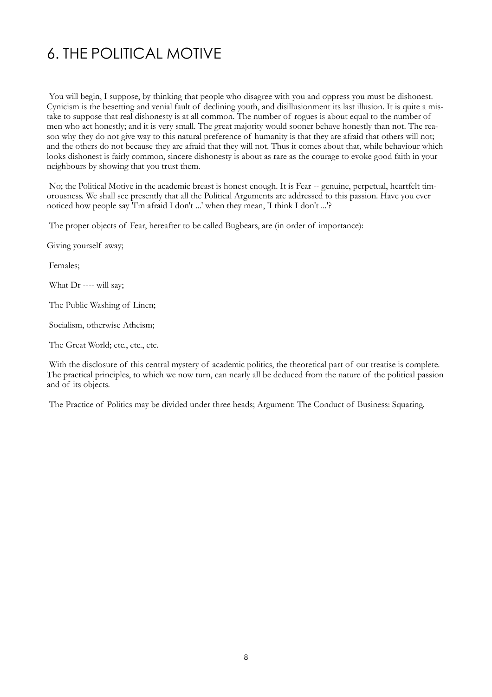## 6. THE POLITICAL MOTIVE

 You will begin, I suppose, by thinking that people who disagree with you and oppress you must be dishonest. Cynicism is the besetting and venial fault of declining youth, and disillusionment its last illusion. It is quite a mistake to suppose that real dishonesty is at all common. The number of rogues is about equal to the number of men who act honestly; and it is very small. The great majority would sooner behave honestly than not. The reason why they do not give way to this natural preference of humanity is that they are afraid that others will not; and the others do not because they are afraid that they will not. Thus it comes about that, while behaviour which looks dishonest is fairly common, sincere dishonesty is about as rare as the courage to evoke good faith in your neighbours by showing that you trust them.

 No; the Political Motive in the academic breast is honest enough. It is Fear -- genuine, perpetual, heartfelt timorousness. We shall see presently that all the Political Arguments are addressed to this passion. Have you ever noticed how people say 'I'm afraid I don't ...' when they mean, 'I think I don't ...'?

The proper objects of Fear, hereafter to be called Bugbears, are (in order of importance):

Giving yourself away;

Females;

What Dr ---- will say;

The Public Washing of Linen;

Socialism, otherwise Atheism;

The Great World; etc., etc., etc.

With the disclosure of this central mystery of academic politics, the theoretical part of our treatise is complete. The practical principles, to which we now turn, can nearly all be deduced from the nature of the political passion and of its objects.

The Practice of Politics may be divided under three heads; Argument: The Conduct of Business: Squaring.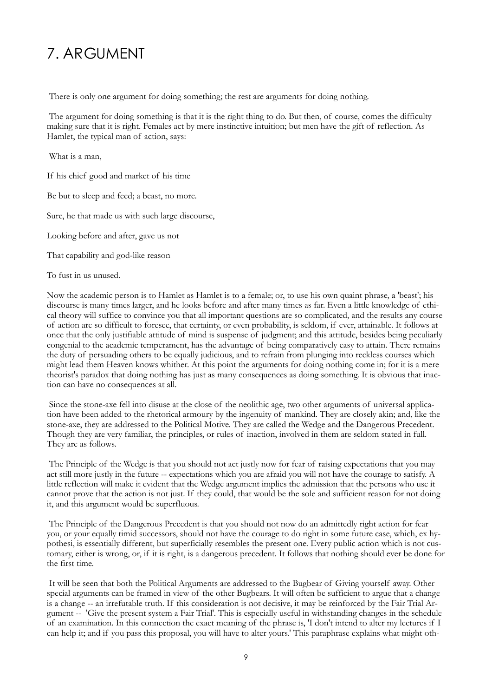#### 7. ARGUMENT

There is only one argument for doing something; the rest are arguments for doing nothing.

 The argument for doing something is that it is the right thing to do. But then, of course, comes the difficulty making sure that it is right. Females act by mere instinctive intuition; but men have the gift of reflection. As Hamlet, the typical man of action, says:

What is a man,

If his chief good and market of his time

Be but to sleep and feed; a beast, no more.

Sure, he that made us with such large discourse,

Looking before and after, gave us not

That capability and god-like reason

To fust in us unused.

Now the academic person is to Hamlet as Hamlet is to a female; or, to use his own quaint phrase, a 'beast'; his discourse is many times larger, and he looks before and after many times as far. Even a little knowledge of ethical theory will suffice to convince you that all important questions are so complicated, and the results any course of action are so difficult to foresee, that certainty, or even probability, is seldom, if ever, attainable. It follows at once that the only justifiable attitude of mind is suspense of judgment; and this attitude, besides being peculiarly congenial to the academic temperament, has the advantage of being comparatively easy to attain. There remains the duty of persuading others to be equally judicious, and to refrain from plunging into reckless courses which might lead them Heaven knows whither. At this point the arguments for doing nothing come in; for it is a mere theorist's paradox that doing nothing has just as many consequences as doing something. It is obvious that inaction can have no consequences at all.

 Since the stone-axe fell into disuse at the close of the neolithic age, two other arguments of universal application have been added to the rhetorical armoury by the ingenuity of mankind. They are closely akin; and, like the stone-axe, they are addressed to the Political Motive. They are called the Wedge and the Dangerous Precedent. Though they are very familiar, the principles, or rules of inaction, involved in them are seldom stated in full. They are as follows.

 The Principle of the Wedge is that you should not act justly now for fear of raising expectations that you may act still more justly in the future -- expectations which you are afraid you will not have the courage to satisfy. A little reflection will make it evident that the Wedge argument implies the admission that the persons who use it cannot prove that the action is not just. If they could, that would be the sole and sufficient reason for not doing it, and this argument would be superfluous.

 The Principle of the Dangerous Precedent is that you should not now do an admittedly right action for fear you, or your equally timid successors, should not have the courage to do right in some future case, which, ex hypothesi, is essentially different, but superficially resembles the present one. Every public action which is not customary, either is wrong, or, if it is right, is a dangerous precedent. It follows that nothing should ever be done for the first time.

 It will be seen that both the Political Arguments are addressed to the Bugbear of Giving yourself away. Other special arguments can be framed in view of the other Bugbears. It will often be sufficient to argue that a change is a change -- an irrefutable truth. If this consideration is not decisive, it may be reinforced by the Fair Trial Argument -- 'Give the present system a Fair Trial'. This is especially useful in withstanding changes in the schedule of an examination. In this connection the exact meaning of the phrase is, 'I don't intend to alter my lectures if I can help it; and if you pass this proposal, you will have to alter yours.' This paraphrase explains what might oth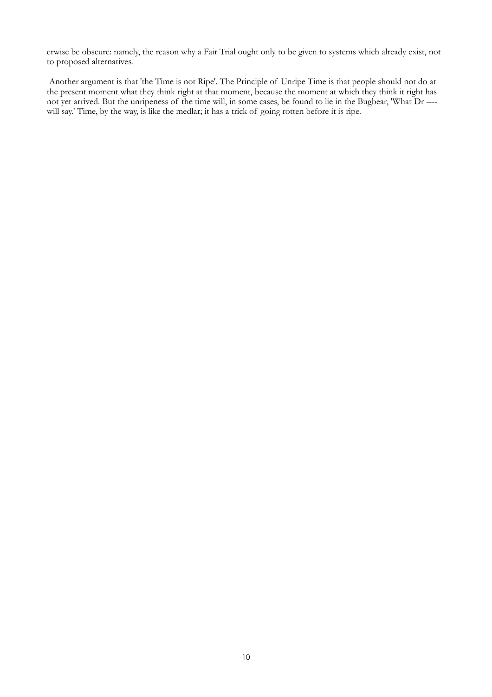erwise be obscure: namely, the reason why a Fair Trial ought only to be given to systems which already exist, not to proposed alternatives.

 Another argument is that 'the Time is not Ripe'. The Principle of Unripe Time is that people should not do at the present moment what they think right at that moment, because the moment at which they think it right has not yet arrived. But the unripeness of the time will, in some cases, be found to lie in the Bugbear, 'What Dr --- will say.' Time, by the way, is like the medlar; it has a trick of going rotten before it is ripe.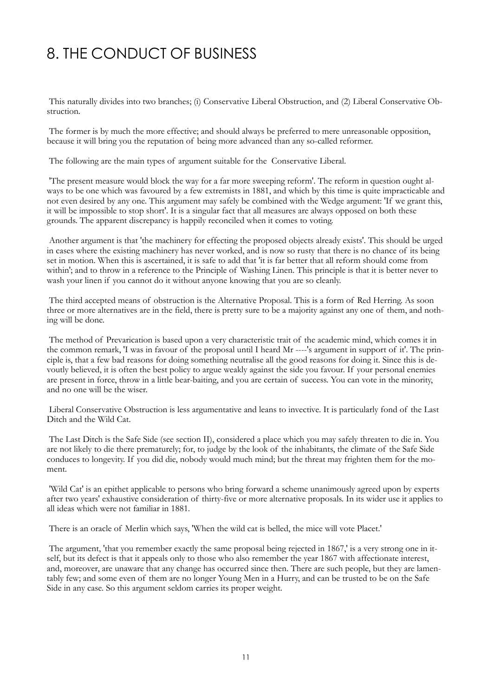### 8. THE CONDUCT OF BUSINESS

 This naturally divides into two branches; (i) Conservative Liberal Obstruction, and (2) Liberal Conservative Obstruction.

 The former is by much the more effective; and should always be preferred to mere unreasonable opposition, because it will bring you the reputation of being more advanced than any so-called reformer.

The following are the main types of argument suitable for the Conservative Liberal.

 'The present measure would block the way for a far more sweeping reform'. The reform in question ought always to be one which was favoured by a few extremists in 1881, and which by this time is quite impracticable and not even desired by any one. This argument may safely be combined with the Wedge argument: 'If we grant this, it will be impossible to stop short'. It is a singular fact that all measures are always opposed on both these grounds. The apparent discrepancy is happily reconciled when it comes to voting.

 Another argument is that 'the machinery for effecting the proposed objects already exists'. This should be urged in cases where the existing machinery has never worked, and is now so rusty that there is no chance of its being set in motion. When this is ascertained, it is safe to add that 'it is far better that all reform should come from within'; and to throw in a reference to the Principle of Washing Linen. This principle is that it is better never to wash your linen if you cannot do it without anyone knowing that you are so cleanly.

 The third accepted means of obstruction is the Alternative Proposal. This is a form of Red Herring. As soon three or more alternatives are in the field, there is pretty sure to be a majority against any one of them, and nothing will be done.

 The method of Prevarication is based upon a very characteristic trait of the academic mind, which comes it in the common remark, 'I was in favour of the proposal until I heard Mr ----'s argument in support of it'. The principle is, that a few bad reasons for doing something neutralise all the good reasons for doing it. Since this is devoutly believed, it is often the best policy to argue weakly against the side you favour. If your personal enemies are present in force, throw in a little bear-baiting, and you are certain of success. You can vote in the minority, and no one will be the wiser.

 Liberal Conservative Obstruction is less argumentative and leans to invective. It is particularly fond of the Last Ditch and the Wild Cat.

 The Last Ditch is the Safe Side (see section II), considered a place which you may safely threaten to die in. You are not likely to die there prematurely; for, to judge by the look of the inhabitants, the climate of the Safe Side conduces to longevity. If you did die, nobody would much mind; but the threat may frighten them for the moment.

 'Wild Cat' is an epithet applicable to persons who bring forward a scheme unanimously agreed upon by experts after two years' exhaustive consideration of thirty-five or more alternative proposals. In its wider use it applies to all ideas which were not familiar in 1881.

There is an oracle of Merlin which says, 'When the wild cat is belled, the mice will vote Placet.'

The argument, 'that you remember exactly the same proposal being rejected in 1867,' is a very strong one in itself, but its defect is that it appeals only to those who also remember the year 1867 with affectionate interest, and, moreover, are unaware that any change has occurred since then. There are such people, but they are lamentably few; and some even of them are no longer Young Men in a Hurry, and can be trusted to be on the Safe Side in any case. So this argument seldom carries its proper weight.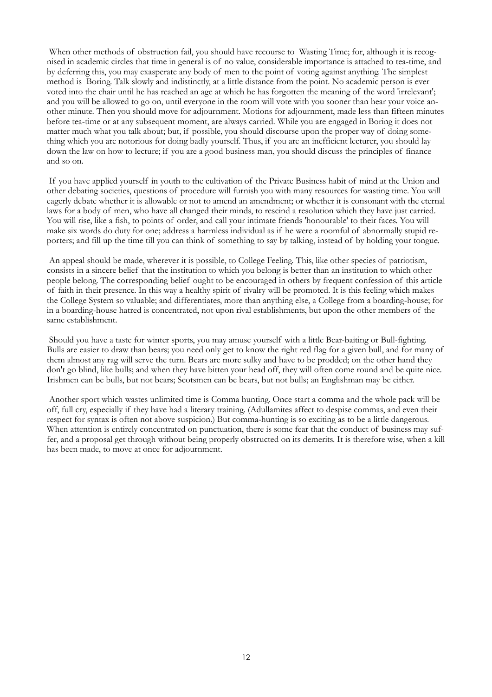When other methods of obstruction fail, you should have recourse to Wasting Time; for, although it is recognised in academic circles that time in general is of no value, considerable importance is attached to tea-time, and by deferring this, you may exasperate any body of men to the point of voting against anything. The simplest method is Boring. Talk slowly and indistinctly, at a little distance from the point. No academic person is ever voted into the chair until he has reached an age at which he has forgotten the meaning of the word 'irrelevant'; and you will be allowed to go on, until everyone in the room will vote with you sooner than hear your voice another minute. Then you should move for adjournment. Motions for adjournment, made less than fifteen minutes before tea-time or at any subsequent moment, are always carried. While you are engaged in Boring it does not matter much what you talk about; but, if possible, you should discourse upon the proper way of doing something which you are notorious for doing badly yourself. Thus, if you are an inefficient lecturer, you should lay down the law on how to lecture; if you are a good business man, you should discuss the principles of finance and so on.

 If you have applied yourself in youth to the cultivation of the Private Business habit of mind at the Union and other debating societies, questions of procedure will furnish you with many resources for wasting time. You will eagerly debate whether it is allowable or not to amend an amendment; or whether it is consonant with the eternal laws for a body of men, who have all changed their minds, to rescind a resolution which they have just carried. You will rise, like a fish, to points of order, and call your intimate friends 'honourable' to their faces. You will make six words do duty for one; address a harmless individual as if he were a roomful of abnormally stupid reporters; and fill up the time till you can think of something to say by talking, instead of by holding your tongue.

 An appeal should be made, wherever it is possible, to College Feeling. This, like other species of patriotism, consists in a sincere belief that the institution to which you belong is better than an institution to which other people belong. The corresponding belief ought to be encouraged in others by frequent confession of this article of faith in their presence. In this way a healthy spirit of rivalry will be promoted. It is this feeling which makes the College System so valuable; and differentiates, more than anything else, a College from a boarding-house; for in a boarding-house hatred is concentrated, not upon rival establishments, but upon the other members of the same establishment.

 Should you have a taste for winter sports, you may amuse yourself with a little Bear-baiting or Bull-fighting. Bulls are easier to draw than bears; you need only get to know the right red flag for a given bull, and for many of them almost any rag will serve the turn. Bears are more sulky and have to be prodded; on the other hand they don't go blind, like bulls; and when they have bitten your head off, they will often come round and be quite nice. Irishmen can be bulls, but not bears; Scotsmen can be bears, but not bulls; an Englishman may be either.

 Another sport which wastes unlimited time is Comma hunting. Once start a comma and the whole pack will be off, full cry, especially if they have had a literary training. (Adullamites affect to despise commas, and even their respect for syntax is often not above suspicion.) But comma-hunting is so exciting as to be a little dangerous. When attention is entirely concentrated on punctuation, there is some fear that the conduct of business may suffer, and a proposal get through without being properly obstructed on its demerits. It is therefore wise, when a kill has been made, to move at once for adjournment.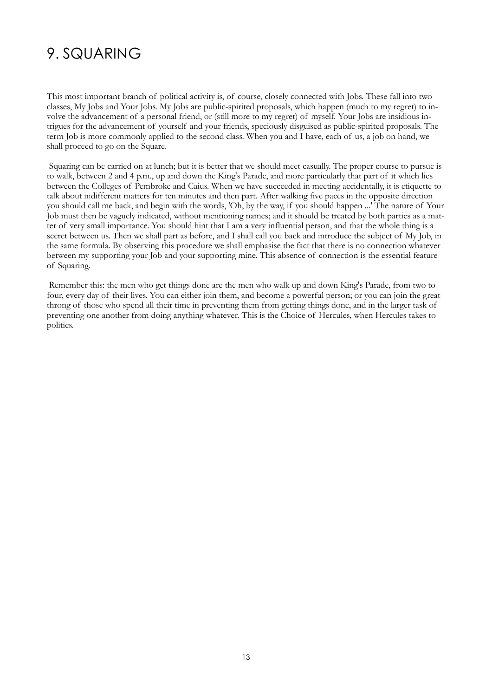#### 9. SQUARING

This most important branch of political activity is, of course, closely connected with Jobs. These fall into two classes, My Jobs and Your Jobs. My Jobs are public-spirited proposals, which happen (much to my regret) to involve the advancement of a personal friend, or (still more to my regret) of myself. Your Jobs are insidious intrigues for the advancement of yourself and your friends, speciously disguised as public-spirited proposals. The term Job is more commonly applied to the second class. When you and I have, each of us, a job on hand, we shall proceed to go on the Square.

 Squaring can be carried on at lunch; but it is better that we should meet casually. The proper course to pursue is to walk, between 2 and 4 p.m., up and down the King's Parade, and more particularly that part of it which lies between the Colleges of Pembroke and Caius. When we have succeeded in meeting accidentally, it is etiquette to talk about indifferent matters for ten minutes and then part. After walking five paces in the opposite direction you should call me back, and begin with the words, 'Oh, by the way, if you should happen ...' The nature of Your Job must then be vaguely indicated, without mentioning names; and it should be treated by both parties as a matter of very small importance. You should hint that I am a very influential person, and that the whole thing is a secret between us. Then we shall part as before, and I shall call you back and introduce the subject of My Job, in the same formula. By observing this procedure we shall emphasise the fact that there is no connection whatever between my supporting your Job and your supporting mine. This absence of connection is the essential feature of Squaring.

 Remember this: the men who get things done are the men who walk up and down King's Parade, from two to four, every day of their lives. You can either join them, and become a powerful person; or you can join the great throng of those who spend all their time in preventing them from getting things done, and in the larger task of preventing one another from doing anything whatever. This is the Choice of Hercules, when Hercules takes to politics.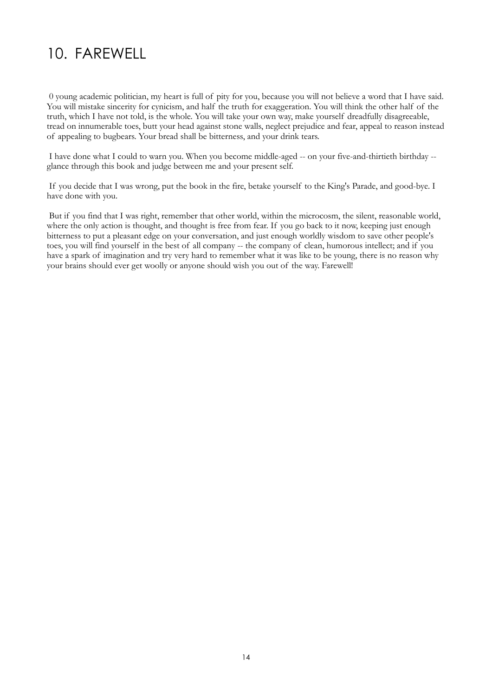#### 10. FAREWELL

 0 young academic politician, my heart is full of pity for you, because you will not believe a word that I have said. You will mistake sincerity for cynicism, and half the truth for exaggeration. You will think the other half of the truth, which I have not told, is the whole. You will take your own way, make yourself dreadfully disagreeable, tread on innumerable toes, butt your head against stone walls, neglect prejudice and fear, appeal to reason instead of appealing to bugbears. Your bread shall be bitterness, and your drink tears.

 I have done what I could to warn you. When you become middle-aged -- on your five-and-thirtieth birthday - glance through this book and judge between me and your present self.

 If you decide that I was wrong, put the book in the fire, betake yourself to the King's Parade, and good-bye. I have done with you.

 But if you find that I was right, remember that other world, within the microcosm, the silent, reasonable world, where the only action is thought, and thought is free from fear. If you go back to it now, keeping just enough bitterness to put a pleasant edge on your conversation, and just enough worldly wisdom to save other people's toes, you will find yourself in the best of all company -- the company of clean, humorous intellect; and if you have a spark of imagination and try very hard to remember what it was like to be young, there is no reason why your brains should ever get woolly or anyone should wish you out of the way. Farewell!